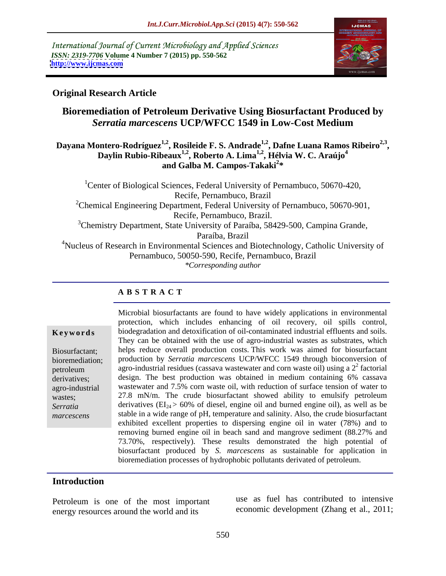International Journal of Current Microbiology and Applied Sciences *ISSN: 2319-7706* **Volume 4 Number 7 (2015) pp. 550-562 <http://www.ijcmas.com>**



### **Original Research Article**

# **Bioremediation of Petroleum Derivative Using Biosurfactant Produced by**  *Serratia marcescens* **UCP/WFCC 1549 in Low-Cost Medium**

### Dayana Montero-Rodríguez<sup>1,2</sup>, Rosileide F. S. Andrade<sup>1,2</sup>, Dafne Luana Ramos Ribeiro<sup>2,3</sup>, Daylin Rubio-Ribeaux<sup>1,2</sup>, Roberto A. Lima<sup>1,2</sup>, Hélvia W. C. Araújo<sup>4</sup> **and Galba M. Campos-Takaki<sup>2</sup> \***

<sup>1</sup>Center of Biological Sciences, Federal University of Pernambuco, 50670-420, Recife, Pernambuco, Brazil <sup>2</sup>Chemical Engineering Department, Federal University of Pernambuco, 50670-901, Recife, Pernambuco, Brazil. <sup>3</sup>Chemistry Department, State University of Paraíba, 58429-500, Campina Grande, Paraíba, Brazil <sup>4</sup>Nucleus of Research in Environmental Sciences and Biotechnology, Catholic University of Pernambuco, 50050-590, Recife, Pernambuco, Brazil *\*Corresponding author*

## **A B S T R A C T**

*marcescens*

Microbial biosurfactants are found to have widely applications in environmental protection, which includes enhancing of oil recovery, oil spills control, biodegradation and detoxification of oil-contaminated industrial effluents and soils. **Ke ywo rds** They can be obtained with the use of agro-industrial wastes as substrates, which helps reduce overall production costs. This work was aimed for biosurfactant Biosurfactant; bioremediation; production by *Serratia marcescens* UCP/WFCC 1549 through bioconversion of petroleum agro-industrial residues (cassava wastewater and corn waste oil) using a 2<sup>2</sup> factorial factorial derivatives; design. The best production was obtained in medium containing 6% cassava wastewater and 7.5% corn waste oil, with reduction of surface tension of water to agro-industrial wastes; 27.8 mN/m. The crude biosurfactant showed ability to emulsify petroleum derivatives (EI24 > 60% of diesel, engine oil and burned engine oil), as well as be *Serratia*  stable in a wide range of pH, temperature and salinity. Also, the crude biosurfactant exhibited excellent properties to dispersing engine oil in water (78%) and to removing burned engine oil in beach sand and mangrove sediment (88.27% and 73.70%, respectively). These results demonstrated the high potential of biosurfactant produced by *S. marcescens* as sustainable for application in bioremediation processes of hydrophobic pollutants derivated of petroleum.

## **Introduction**

Petroleum is one of the most important energy resources around the world and its

use as fuel has contributed to intensive economic development (Zhang et al., 2011;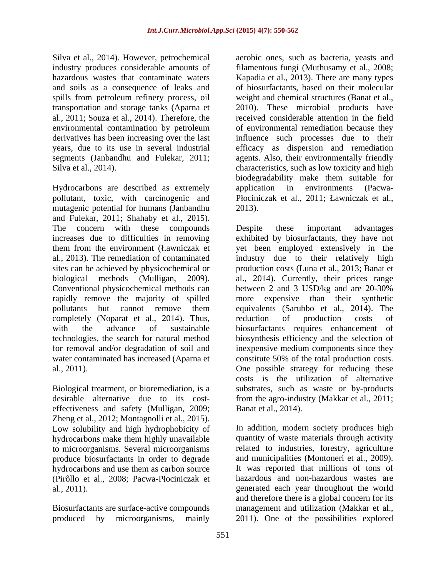Silva et al., 2014). However, petrochemical aerobic ones, such as bacteria, yeasts and spills from petroleum refinery process, oil environmental contamination by petroleum

Hydrocarbons are described as extremely application in environments (Pacwapollutant, toxic, with carcinogenic and mutagenic potential for humans (Janbandhu 2013). and Fulekar, 2011; Shahaby et al., 2015). The concern with these compounds Despite these important advantages completely (Noparat et al., 2014). Thus, reduction of production costs of technologies, the search for natural method

Biological treatment, or bioremediation, is a effectiveness and safety (Mulligan, 2009; Zheng et al., 2012; Montagnolli et al., 2015). hydrocarbons make them highly unavailable<br>to microorganisms. Several microorganisms produce biosurfactants in order to degrade<br>hydrocarbons and use them as carbon source (Pirôllo et al., 2008; Pacwa-Płociniczak et

produced by microorganisms, mainly 2011). One of the possibilities explored

industry produces considerable amounts of filamentous fungi (Muthusamy et al., 2008; hazardous wastes that contaminate waters Kapadia et al., 2013). There are many types and soils as a consequence of leaks and of biosurfactants, based on their molecular transportation and storage tanks (Aparna et  $\qquad$  2010). These microbial products have al., 2011; Souza et al., 2014). Therefore, the received considerable attention in the field derivatives has been increasing over the last influence such processes due to their years, due to its use in several industrial efficacy as dispersion and remediation segments (Janbandhu and Fulekar, 2011; agents. Also, their environmentally friendly Silva et al., 2014). Characteristics, such as low toxicity and high weight and chemical structures (Banat et al., of environmental remediation because they biodegradability make them suitable for application in environments (Pacwa- Płociniczak et al., 2011; Ławniczak et al., 2013).

increases due to difficulties in removing exhibited by biosurfactants, they have not them from the environment (Lawniczak et yet been employed extensively in the al., 2013). The remediation of contaminated industry due to their relatively high sites can be achieved by physicochemical or production costs (Luna et al., 2013; Banat et biological methods (Mulligan, 2009). al., 2014). Currently, their prices range Conventional physicochemical methods can between 2 and 3 USD/kg and are 20-30% rapidly remove the majority of spilled more expensive than their synthetic pollutants but cannot remove them equivalents (Sarubbo et al., 2014). The with the advance of sustainable biosurfactants requires enhancement of for removal and/or degradation of soil and inexpensive medium components since they water contaminated has increased (Aparna et constitute 50% of the total production costs. al., 2011). One possible strategy for reducing these desirable alternative due to its cost- from the agro-industry (Makkar et al., 2011; Despite these important advantages reduction of production costs of biosynthesis efficiency and the selection of costs is the utilization of alternative substrates, such as waste or by-products Banat et al., 2014).

Low solubility and high hydrophobicity of In addition, modern society produces high to microorganisms. Several microorganisms related to industries, forestry, agriculture hydrocarbons and use them as carbon source It was reported that millions of tons of al., 2011). generated each year throughout the world Biosurfactants are surface-active compounds management and utilization (Makkar et al., quantity of waste materials through activity and municipalities (Montoneri et al., 2009). It was reported that millions of tons of hazardous and non-hazardous wastes are and therefore there is a global concern for its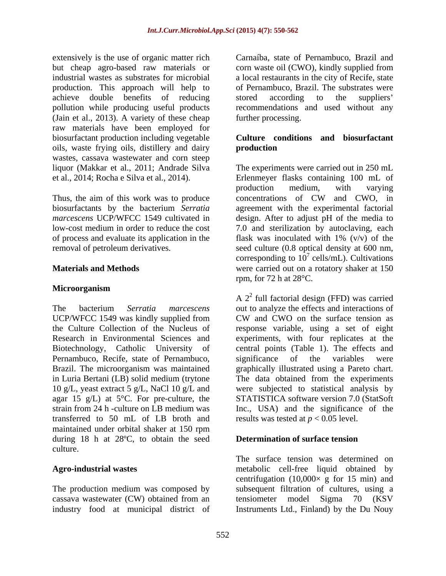extensively is the use of organic matter rich but cheap agro-based raw materials or corn waste oil (CWO), kindly supplied from industrial wastes as substrates for microbial a local restaurants in the city of Recife, state production. This approach will help to of Pernambuco, Brazil. The substrates were achieve double benefits of reducing pollution while producing useful products recommendations and used without any (Jain et al., 2013). A variety of these cheap raw materials have been employed for biosurfactant production including vegetable oils, waste frying oils, distillery and dairy wastes, cassava wastewater and corn steep

Thus, the aim of this work was to produce concentrations of CW and CWO, in of process and evaluate its application in the

### **Microorganism**

UCP/WFCC 1549 was kindly supplied from CW and CWO on the surface tension as Pernambuco, Recife, state of Pernambuco, significance of the variables were 10 g/L, yeast extract 5 g/L, NaCl 10 g/L and agar 15 g/L) at  $5^{\circ}$ C. For pre-culture, the transferred to 50 mL of LB broth and maintained under orbital shaker at 150 rpm during 18 h at 28ºC, to obtain the seed culture.

The production medium was composed by cassava wastewater (CW) obtained from an tensiometer model Sigma 70 (KSV industry food at municipal district of Instruments Ltd., Finland) by the Du Nouy

Carnaíba, state of Pernambuco, Brazil and stored according to the suppliers further processing.

### **Culture conditions and biosurfactant production**

liquor (Makkar et al., 2011; Andrade Silva The experiments were carried out in 250 mL et al., 2014; Rocha e Silva et al., 2014). Erlenmeyer flasks containing 100 mL of biosurfactants by the bacterium *Serratia*  agreement with the experimental factorial *marcescens* UCP/WFCC 1549 cultivated in design. After to adjust pH of the media to low-cost medium in order to reduce the cost 7.0 and sterilization by autoclaving, each removal of petroleum derivatives. seed culture (0.8 optical density at 600 nm, **Materials and Methods** were carried out on a rotatory shaker at 150 production medium, with varying concentrations of CW and CWO, in flask was inoculated with  $1\%$  (v/v) of the corresponding to  $10^7$  cells/mL). Cultivations rpm, for 72 h at 28°C.

The bacterium *Serratia marcescens* out to analyze the effects and interactions of the Culture Collection of the Nucleus of response variable, using a set of eight Research in Environmental Sciences and experiments, with four replicates at the Biotechnology, Catholic University of central points (Table 1). The effects and Brazil. The microorganism was maintained graphically illustrated using a Pareto chart. in Luria Bertani (LB) solid medium (trytone The data obtained from the experiments strain from 24 h -culture on LB medium was Inc., USA) and the significance of the A 2 2 full factorial design (FFD) was carried CW and CWO on the surface tension as significance of the variables were were subjected to statistical analysis by STATISTICA software version 7.0 (StatSoft results was tested at *p* < 0.05 level.

### **Determination of surface tension**

**Agro-industrial wastes** metabolic cell-free liquid obtained by The surface tension was determined on centrifugation  $(10,000 \times g)$  for 15 min) and subsequent filtration of cultures, using a tensiometer model Sigma 70 (KSV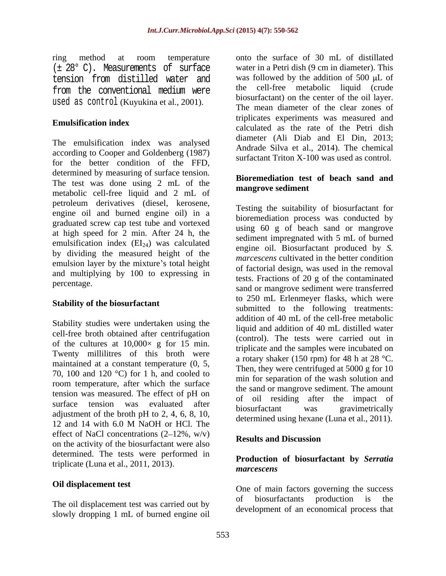(± 28° C). Measurements of surface tension from distilled water and from the conventional medium were used as control (Kuyukina et al., 2001).

The emulsification index was analysed according to Cooper and Goldenberg (1987) for the better condition of the FFD, determined by measuring of surface tension. The test was done using 2 mL of the metabolic cell-free liquid and 2 mL of petroleum derivatives (diesel, kerosene, engine oil and burned engine oil) in a graduated screw cap test tube and vortexed at high speed for 2 min. After 24 h, the emulsification index  $(EI_{24})$  was calculated by dividing the measured height of the emulsion layer by the mixture's total height and multiplying by 100 to expressing in

### **Stability of the biosurfactant**

Stability studies were undertaken using the cell-free broth obtained after centrifugation of the cultures at  $10,000 \times g$  for 15 min. Twenty millilitres of this broth were maintained at a constant temperature (0, 5, 70, 100 and 120  $^{\circ}$ C) for 1 h, and cooled to room temperature, after which the surface tension was measured. The effect of pH on adjustment of the broth pH to 2, 4, 6, 8, 10,  $\frac{1}{2}$  biosurfactant was gravimetrically 12 and 14 with 6.0 M NaOH or HCl. The determined using hexand (Edita et al., 2011). effect of NaCl concentrations  $(2-12\% , w/v)$  Results and Discussion on the activity of the biosurfactant were also determined. The tests were performed in triplicate (Luna et al., 2011, 2013).

slowly dropping 1 mL of burned engine oil

ring method at room temperature onto the surface of 30 mL of distillated **Emulsification index**<br>
calculated as the rate of the Petri dish onto the surface of 30 mL of distillated water in a Petri dish (9 cm in diameter). This was followed by the addition of 500  $\mu$ L of the cell-free metabolic liquid (crude biosurfactant) on the center of the oil layer. The mean diameter of the clear zones of triplicates experiments was measured and diameter (Ali Diab and El Din, 2013; Andrade Silva et al., 2014). The chemical surfactant Triton X-100 was used as control.

### **Bioremediation test of beach sand and mangrove sediment**

percentage.<br>
sand or mangrove sediment were transferred surface tension was evaluated after the income and the impact of Testing the suitability of biosurfactant for bioremediation process was conducted by using 60 g of beach sand or mangrove sediment impregnated with 5 mL of burned engine oil. Biosurfactant produced by *S. marcescens* cultivated in the better condition of factorial design, was used in the removal tests. Fractions of 20 g of the contaminated to 250 mL Erlenmeyer flasks, which were submitted to the following treatments: addition of 40 mL of the cell-free metabolic liquid and addition of 40 mL distilled water (control). The tests were carried out in triplicate and the samples were incubated on a rotary shaker (150 rpm) for 48 h at 28  $^{\circ}$ C. Then, they were centrifuged at 5000 g for 10 min for separation of the wash solution and the sand or mangrove sediment. The amount of oil residing after the impact of biosurfactant was gravimetrically determined using hexane (Luna et al., 2011).

### **Results and Discussion**

# **Production of biosurfactant by** *Serratia marcescens*

**Oil displacement test One** of main factors governing the success The oil displacement test was carried out by  $\overrightarrow{a}$  biosurfactants production is the of biosurfactants production is the development of an economical process that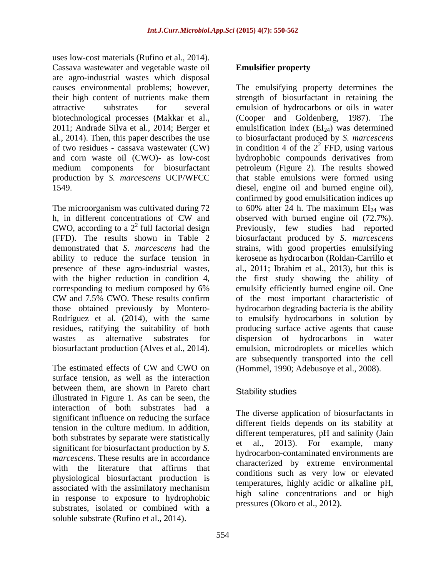uses low-cost materials (Rufino et al., 2014). Cassava wastewater and vegetable waste oil are agro-industrial wastes which disposal biotechnological processes (Makkar et al., (Cooper and Goldenberg, 1987). The

surface tension, as well as the interaction between them, are shown in Pareto chart<br>
Stability studies illustrated in Figure 1. As can be seen, the interaction of both substrates had a significant influence on reducing the surface tension in the culture medium. In addition, both substrates by separate were statistically<br>et al., 2013). For example, many significant for biosurfactant production by *S. marcescens*. These results are in accordance with the literature that affirms that physiological biosurfactant production is associated with the assimilatory mechanism in response to exposure to hydrophobic substrates, isolated or combined with a soluble substrate (Rufino et al., 2014).

# **Emulsifier property**

causes environmental problems; however, The emulsifying property determines the their high content of nutrients make them strength of biosurfactant in retaining the attractive substrates for several emulsion of hydrocarbons or oils in water 2011; Andrade Silva et al., 2014; Berger et emulsification index  $(EI_{24})$  was determined al., 2014). Then, this paper describes the use to biosurfactant produced by *S. marcescens* of two residues - cassava wastewater (CW) in condition 4 of the  $2<sup>2</sup>$  FFD, using various and corn waste oil (CWO)- as low-cost hydrophobic compounds derivatives from medium components for biosurfactant petroleum (Figure 2). The results showed production by *S. marcescens* UCP/WFCC that stable emulsions were formed using 1549. diesel, engine oil and burned engine oil), The microorganism was cultivated during 72  $\qquad$  to 60% after 24 h. The maximum  $EI_{24}$  was h, in different concentrations of CW and observed with burned engine oil (72.7%). CWO, according to a  $2^2$  full factorial design Previously, few studies had reported (FFD). The results shown in Table 2 biosurfactant produced by *S. marcescens* demonstrated that *S. marcescens* had the strains, with good properties emulsifying ability to reduce the surface tension in kerosene as hydrocarbon (Roldan-Carrillo et presence of these agro-industrial wastes, al., 2011; Ibrahim et al., 2013), but this is with the higher reduction in condition 4, the first study showing the ability of corresponding to medium composed by 6% CW and 7.5% CWO. These results confirm of the most important characteristic of those obtained previously by Montero- hydrocarbon degrading bacteria is the ability Rodríguez et al. (2014), with the same to emulsify hydrocarbons in solution by residues, ratifying the suitability of both producing surface active agents that cause wastes as alternative substrates for dispersion of hydrocarbons in water biosurfactant production (Alves et al., 2014). emulsion, microdroplets or micelles which The estimated effects of CW and CWO on (Hommel, 1990; Adebusoye et al., 2008). (Cooper and Goldenberg, 1987).  $2$  FFD, using various confirmed by good emulsification indices up observed with burned engine oil (72.7%). emulsify efficiently burned engine oil. One are subsequently transported into the cell (Hommel, 1990; Adebusoye et al., 2008).

# Stability studies **Stability** studies

The diverse application of biosurfactants in different fields depends on its stability at different temperatures, pH and salinity (Jain et al., 2013). For example, many hydrocarbon-contaminated environments are characterized by extreme environmental conditions such as very low or elevated temperatures, highly acidic or alkaline pH, high saline concentrations and or high pressures (Okoro et al., 2012).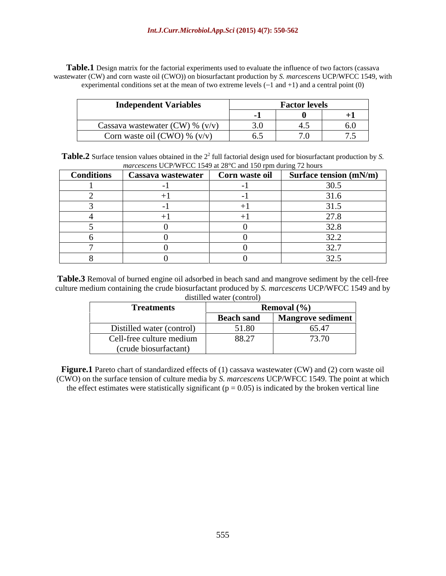**Table.1** Design matrix for the factorial experiments used to evaluate the influence of two factors (cassava wastewater (CW) and corn waste oil (CWO)) on biosurfactant production by *S. marcescens* UCP/WFCC 1549, with experimental conditions set at the mean of two extreme levels  $(-1 \text{ and } +1)$  and a central point  $(0)$ 

| <b>Independent Variables</b>      | <b>Factor levels</b> |                 |                                   |
|-----------------------------------|----------------------|-----------------|-----------------------------------|
|                                   |                      |                 | . .                               |
| Cassava wastewater (CW) % $(v/v)$ | $\sim$ $\sim$        |                 | .                                 |
| Corn waste oil (CWO) % $(v/v)$    | ◡.◡                  | $\cdot$ $\circ$ | $\overline{\phantom{0}}$<br>. . J |

| Table.2 Surface<br>tor biosurfactant production l<br>e tension values obtained in the 2<br>2° full factorial design used |
|--------------------------------------------------------------------------------------------------------------------------|
| $\sim$ T <sup>r</sup> <sup>D</sup> /WFCC 1549 at $28 \text{ m}$<br>d 150 rpm during 72.<br>2 hours<br>marcescens         |

| <b>Conditions</b> | Cassava wastewater | Corn waste oil | Surface tension $(mN/m)$  |
|-------------------|--------------------|----------------|---------------------------|
|                   |                    |                | 20E                       |
|                   |                    |                | $\sim$ 1                  |
|                   |                    |                | $\bigcap_{i=1}^n$<br>ن. ـ |
|                   |                    |                | 270<br>$\sim$ $\sim$      |
|                   |                    |                | 32.8                      |
|                   |                    |                | 222<br>ے . _              |
|                   |                    |                | $\Omega$ $\Omega$         |
|                   |                    |                | $22 -$                    |

**Table.3** Removal of burned engine oil adsorbed in beach sand and mangrove sediment by the cell-free culture medium containing the crude biosurfactant produced by *S. marcescens* UCP/WFCC 1549 and by distilled water (control)

| $\frac{1}{2}$             |                   |                          |  |
|---------------------------|-------------------|--------------------------|--|
| <b>Treatments</b>         |                   | <b>Removal</b> $(\%)$    |  |
|                           | <b>Beach sand</b> | <b>Mangrove sediment</b> |  |
| Distilled water (control) | 51.80             | 65.47                    |  |
| Cell-free culture medium  | 88.27             | $\overline{a}$<br>13.70  |  |
| (crude biosurfactant)     |                   |                          |  |

Figure.1 Pareto chart of standardized effects of (1) cassava wastewater (CW) and (2) corn waste oil (CWO) on the surface tension of culture media by *S. marcescens* UCP/WFCC 1549. The point at which the effect estimates were statistically significant ( $p = 0.05$ ) is indicated by the broken vertical line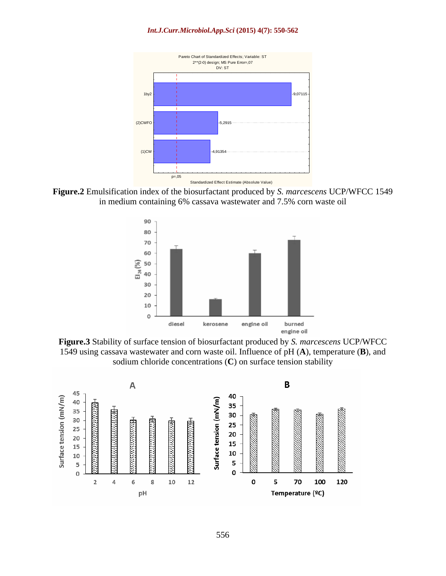

**Figure.2** Emulsification index of the biosurfactant produced by *S. marcescens* UCP/WFCC 1549 in medium containing 6% cassava wastewater and 7.5% corn waste oil



**Figure.3** Stability of surface tension of biosurfactant produced by *S. marcescens* UCP/WFCC 1549 using cassava wastewater and corn waste oil. Influence of pH (**A**), temperature (**B**), and sodium chloride concentrations (**C**) on surface tension stability

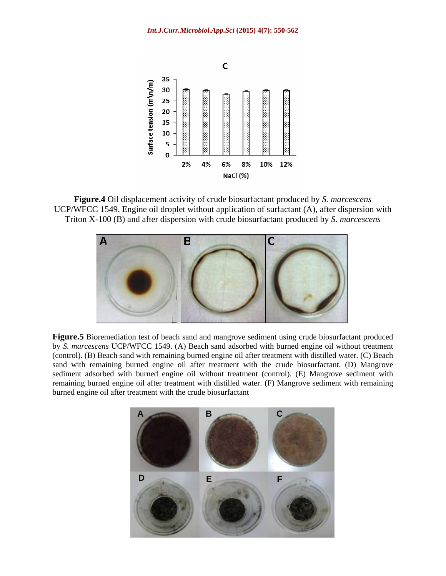

**Figure.4** Oil displacement activity of crude biosurfactant produced by *S. marcescens* UCP/WFCC 1549. Engine oil droplet without application of surfactant (A), after dispersion with Triton X-100 (B) and after dispersion with crude biosurfactant produced by *S. marcescens*



**Figure.5** Bioremediation test of beach sand and mangrove sediment using crude biosurfactant produced by *S. marcescens* UCP/WFCC 1549. (A) Beach sand adsorbed with burned engine oil without treatment (control). (B) Beach sand with remaining burned engine oil after treatment with distilled water. (C) Beach sand with remaining burned engine oil after treatment with the crude biosurfactant. (D) Mangrove sediment adsorbed with burned engine oil without treatment (control). (E) Mangrove sediment with remaining burned engine oil after treatment with distilled water. (F) Mangrove sediment with remaining burned engine oil after treatment with the crude biosurfactant

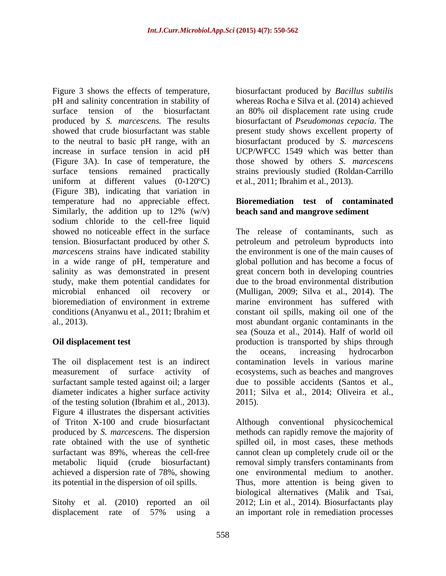Figure 3 shows the effects of temperature, biosurfactant produced by *Bacillus subtilis* pH and salinity concentration in stability of whereas Rocha e Silva et al. (2014) achieved surface tension of the biosurfactant an 80% oil displacement rate using crude produced by *S. marcescens.* The results biosurfactant of *Pseudomonas cepacia*. The showed that crude biosurfactant was stable present study shows excellent property of to the neutral to basic pH range, with an biosurfactant produced by *S. marcescens* increase in surface tension in acid pH (Figure 3A). In case of temperature, the those showed by others *S. marcescens* surface tensions remained practically strains previously studied (Roldan-Carrillo uniform at different values (0-120ºC) (Figure 3B), indicating that variation in temperature had no appreciable effect. Similarly, the addition up to  $12\%$  (w/v) sodium chloride to the cell-free liquid showed no noticeable effect in the surface The release of contaminants, such as tension. Biosurfactant produced by other *S. marcescens* strains have indicated stability the environment is one of the main causes of in a wide range of pH, temperature and salinity as was demonstrated in present study, make them potential candidates for microbial enhanced oil recovery or (Mulligan, 2009; Silva et al., 2014). The bioremediation of environment in extreme marine environment has suffered with conditions (Anyanwu et al., 2011; Ibrahim et constant oil spills, making oil one of the al., 2013). most abundant organic contaminants in the

of the testing solution (Ibrahim et al., 2013). Figure 4 illustrates the dispersant activities of Triton X-100 and crude biosurfactant achieved a dispersion rate of 78%, showing one environmental medium to another.

Sitohy et al. (2010) reported an oil

UCP/WFCC 1549 which was better than et al., 2011; Ibrahim et al., 2013).

# **Bioremediation test of contaminated beach sand and mangrove sediment**

**Oil displacement test production** is transported by ships through The oil displacement test is an indirect contamination levels in various marine measurement of surface activity of ecosystems, such as beaches and mangroves surfactant sample tested against oil; a larger due to possible accidents (Santos et al., diameter indicates a higher surface activity 2011; Silva et al., 2014; Oliveira et al., petroleum and petroleum byproducts into global pollution and has become a focus of great concern both in developing countries due to the broad environmental distribution sea (Souza et al., 2014). Half of world oil the oceans, increasing hydrocarbon 2015).

produced by *S. marcescens.* The dispersion methods can rapidly remove the majority of rate obtained with the use of synthetic spilled oil, in most cases, these methods surfactant was 89%, whereas the cell-free cannot clean up completely crude oil or the metabolic liquid (crude biosurfactant) removal simply transfers contaminants from its potential in the dispersion of oil spills. Thus, more attention is being given to displacement rate of 57% using a an important role in remediation processesAlthough conventional physicochemical one environmental medium to another. biological alternatives (Malik and Tsai, 2012; Lin et al., 2014). Biosurfactants play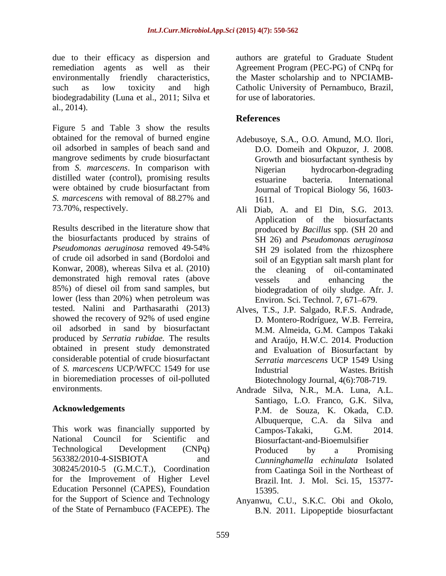due to their efficacy as dispersion and remediation agents as well as their Agreement Program (PEC-PG) of CNPq for environmentally friendly characteristics, the Master scholarship and to NPCIAMB such as low toxicity and high Catholic University of Pernambuco, Brazil, biodegradability (Luna et al., 2011; Silva et al., 2014).

Figure 5 and Table 3 show the results obtained for the removal of burned engine oil adsorbed in samples of beach sand and mangrove sediments by crude biosurfactant from *S. marcescens*. In comparison with distilled water (control), promising results estuarine bacteria. International were obtained by crude biosurfactant from *S. marcescens* with removal of 88.27% and

Results described in the literature show that the biosurfactants produced by strains of *Pseudomonas aeruginosa* removed 49-54% of crude oil adsorbed in sand (Bordoloi and Konwar, 2008), whereas Silva et al. (2010) demonstrated high removal rates (above vessels and enhancing the 85%) of diesel oil from sand samples, but lower (less than 20%) when petroleum was tested. Nalini and Parthasarathi (2013) showed the recovery of 92% of used engine oil adsorbed in sand by biosurfactant M.M. Almeida, G.M. Campos Takaki produced by *Serratia rubidae.* The results obtained in present study demonstrated considerable potential of crude biosurfactant of *S. marcescens* UCP/WFCC 1549 for use in bioremediation processes of oil-polluted

This work was financially supported by Campos-Takaki. G.M. 2014. National Council for Scientific and Biosurfactant-and-Bioemulsifier Technological Development (CNPq) 563382/2010-4-SISBIOTA and *Cunninghamella echinulata* Isolated 308245/2010-5 (G.M.C.T.), Coordination for the Improvement of Higher Level Education Personnel (CAPES), Foundation for the Support of Science and Technology of the State of Pernambuco (FACEPE). The

authors are grateful to Graduate Student for use of laboratories.

# **References**

- Adebusoye, S.A., O.O. Amund, M.O. Ilori, D.O. Domeih and Okpuzor, J. 2008. Growth and biosurfactant synthesis by Nigerian hydrocarbon-degrading estuarine bacteria. International Journal of Tropical Biology 56, 1603- 1611.
- 73.70%, respectively. Ali Diab, A.and El Din, S.G. 2013. Application of the biosurfactants produced by *Bacillus* spp. (SH 20 and SH 26) and *Pseudomonas aeruginosa* SH 29 isolated from the rhizosphere soil of an Egyptian salt marsh plant for the cleaning of oil-contaminated vessels and enhancing the biodegradation of oily sludge. Afr. J. Environ. Sci. Technol. 7, 671-679.
	- Alves, T.S., J.P. Salgado, R.F.S. Andrade, D. Montero-Rodríguez, W.B. Ferreira, and Araújo, H.W.C. 2014. Production and Evaluation of Biosurfactant by *Serratia marcescens* UCP 1549 Using Industrial Wastes. British Biotechnology Journal, 4(6):708-719.
- environments. Andrade Silva, N.R., M.A. Luna, A.L. **Acknowledgements** P.M. de Souza, K. Okada, C.D. Santiago, L.O. Franco, G.K. Silva, Albuquerque, C.A. da Silva and Campos-Takaki, Produced by a Promising from Caatinga Soil in the Northeast of Brazil. Int. J. Mol. Sci. 15, 15377- 15395.
	- Anyanwu, C.U., S.K.C. Obi and Okolo, B.N. 2011. Lipopeptide biosurfactant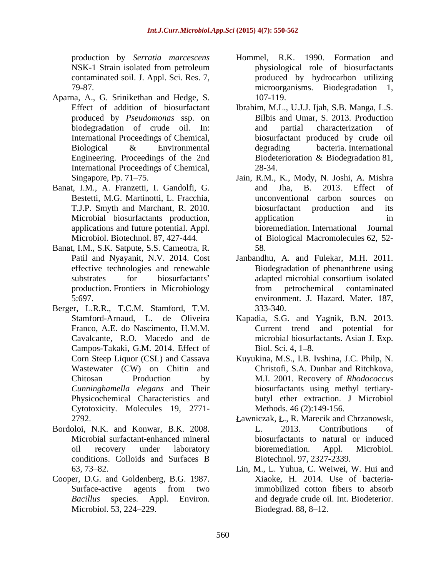- Aparna, A., G. Srinikethan and Hedge, S. International Proceedings of Chemical,
- Banat, I.M., A. Franzetti, I. Gandolfi, G. and Jha, B. 2013. Effect of applications and future potential. Appl.
- Banat, I.M., S.K. Satpute, S.S. Cameotra, R.
- Berger, L.R.R., T.C.M. Stamford, T.M. Campos-Takaki, G.M. 2014. Effect of Wastewater (CW) on Chitin and Cytotoxicity. Molecules 19, 2771-
- Bordoloi, N.K. and Konwar, B.K. 2008. Microbial surfactant-enhanced mineral
- Cooper, D.G. and Goldenberg, B.G. 1987.
- production by *Serratia marcescens*  NSK-1 Strain isolated from petroleum contaminated soil. J. Appl. Sci. Res. 7, entitled by hydrocarbon utilizing 79-87. microorganisms. Biodegradation 1, Hommel, R.K. 1990. Formation physiological role of biosurfactants 107-119.
- Effect of addition of biosurfactant Ibrahim, M.L., U.J.J. Ijah, S.B. Manga, L.S. produced by *Pseudomonas* ssp. on Bilbis and Umar, S. 2013. Production biodegradation of crude oil. In: and partial characterization of International Proceedings of Chemical, biosurfactant produced by crude oil Biological & Environmental degrading bacteria. International Engineering. Proceedings of the 2nd Biodeterioration & Biodegradation 81, and partial characterization of degrading bacteria. International Biodeterioration & Biodegradation 81, 28-34.
- Singapore, Pp. 71–75. Jain, R.M., K., Mody, N. Joshi, A. Mishra Bestetti, M.G. Martinotti, L. Fracchia. The unconventional carbon sources on T.J.P. Smyth and Marchant, R. 2010. Microbial biosurfactants production, Microbiol. Biotechnol. 87, 427-444. of Biological Macromolecules 62, 52 and Jha, B. 2013. Effect of unconventional carbon sources on biosurfactant production and its application in the set of  $\mathbf{u}$  in bioremediation. International Journal 58.
- Patil and Nyayanit, N.V. 2014. Cost Janbandhu, A. and Fulekar, M.H. 2011. effective technologies and renewable Biodegradation of phenanthrene using substrates for biosurfactants' adapted microbial consortium isolated production. Frontiers in Microbiology from petrochemical contaminated 5:697. environment. J. Hazard. Mater. 187, adapted microbial consortium isolated from petrochemical contaminated 333-340.
- Stamford-Arnaud, L. de Oliveira Kapadia, S.G. and Yagnik, B.N. 2013. Franco, A.E. do Nascimento, H.M.M. Current trend and potential for Cavalcante, R.O. Macedo and de microbial biosurfactants. Asian J. Exp. Biol. Sci. 4,  $1-8$ .
- Corn Steep Liquor (CSL) and Cassava Kuyukina, M.S., I.B. Ivshina, J.C. Philp, N. Chitosan Production by M.I. 2001. Recovery of *Rhodococcus Cunninghamella elegans* and Their biosurfactants using methyl tertiary- Physicochemical Characteristics and butyl ether extraction. J Microbiol Christofi, S.A. Dunbar and Ritchkova, Methods. 46 (2):149-156.
- 2792. **Example 2018** Lawniczak, L., R. Marecik and Chrzanowsk, oil recovery under laboratory conditions. Colloids and Surfaces B L. 2013. Contributions of biosurfactants to natural or induced bioremediation. Appl. Microbiol. Biotechnol. 97, 2327-2339.
- 63, 73 82. Lin, M., L. Yuhua, C. Weiwei, W. Hui and Surface-active agents from two immobilized cotton fibers to absorb *Bacillus* species. Appl. Environ. and degrade crude oil. Int. Biodeterior. Microbiol. 53, 224–229. **Biodegrad.** 88, 8–12. Xiaoke, H. 2014. Use of bacteriaimmobilized cotton fibers to absorb Biodegrad.  $88, 8-12$ .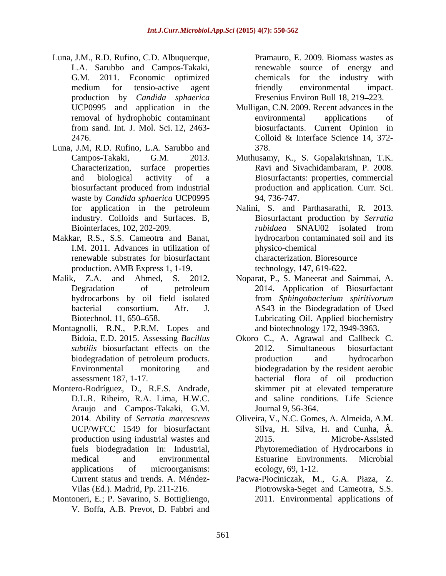- Luna, J.M., R.D. Rufino, C.D. Albuquerque, L.A. Sarubbo and Campos-Takaki, G.M. 2011. Economic optimized chemicals for the industry with medium for tensio-active agent friendly environmental impact. production by *Candida sphaerica*
- Luna, J.M, R.D. Rufino, L.A. Sarubbo and Characterization, surface properties waste by *Candida sphaerica* UCP0995
- Makkar, R.S., S.S. Cameotra and Banat, I.M. 2011. Advances in utilization of renewable substrates for biosurfactant production. AMB Express 1, 1-19.
- 
- Montagnolli, R.N., P.R.M. Lopes and
- Montero-Rodríguez, D., R.F.S. Andrade, Araujo and Campos-Takaki, G.M. production using industrial wastes and  $2015$ .
- Montoneri, E.; P. Savarino, S. Bottigliengo, V. Boffa, A.B. Prevot, D. Fabbri and

Pramauro, E. 2009. Biomass wastes as renewable source of energy and friendly environmental impact. Fresenius Environ Bull 18, 219–223.

- UCP0995 and application in the Mulligan, C.N. 2009. Recent advances in the removal of hydrophobic contaminant from sand. Int. J. Mol. Sci. 12, 2463- biosurfactants. Current Opinion in 2476. Colloid & Interface Science 14, 372environmental applications of Colloid & Interface Science 14, 372- 378.
- Campos-Takaki, G.M. 2013. Muthusamy, K., S. Gopalakrishnan, T.K. and biological activity of a Biosurfactants: properties, commercial biosurfactant produced from industrial production and application. Curr. Sci. Ravi and Sivachidambaram, P. 2008. 94, 736-747.
- for application in the petroleum Nalini, S. and Parthasarathi, R. 2013. industry. Colloids and Surfaces. B, Biointerfaces, 102, 202-209. Biosurfactant production by *Serratia rubidaea* SNAU02 isolated from hydrocarbon contaminated soil and its physico-chemical characterization. Bioresource technology, 147, 619-622.
- Malik, Z.A. and Ahmed, S. 2012. Noparat, P., S. Maneerat and Saimmai, A. Degradation of petroleum 2014. Application of Biosurfactant hydrocarbons by oil field isolated from *Sphingobacterium spiritivorum* bacterial consortium. Afr. J. AS43 in the Biodegradation of Used Biotechnol. 11, 650–658. Lubricating Oil. Applied biochemistry and biotechnology 172, 3949-3963.
	- Bidoia, E.D. 2015. Assessing *Bacillus*  Okoro C., A. Agrawal and Callbeck C. *subtilis* biosurfactant effects on the 2012. Simultaneous biosurfactant biodegradation of petroleum products. The production and hydrocarbon Environmental monitoring and biodegradation by the resident aerobic assessment 187, 1-17. bacterial flora of oil production D.L.R. Ribeiro, R.A. Lima, H.W.C. and saline conditions. Life Science 2012. Simultaneous biosurfactant production and hydrocarbon skimmer pit at elevated temperature Journal 9, 56-364.
	- 2014. Ability of *Serratia marcescens* Oliveira, V., N.C. Gomes, A. Almeida, A.M. UCP/WFCC 1549 for biosurfactant Silva, H. Silva, H. and Cunha, Â. fuels biodegradation In: Industrial, Phytoremediation of Hydrocarbons in medical and environmental Estuarine Environments. Microbial applications of microorganisms: ecology, 69, 1-12. Microbe-Assisted ecology, 69, 1-12.
	- Current status and trends. A. Méndez-<br>
	Pacwa-Płociniczak, M., G.A. Płaza, Z. Vilas (Ed.). Madrid, Pp. 211-216. Piotrowska-Seget and Cameotra, S.S. 2011. Environmental applications of